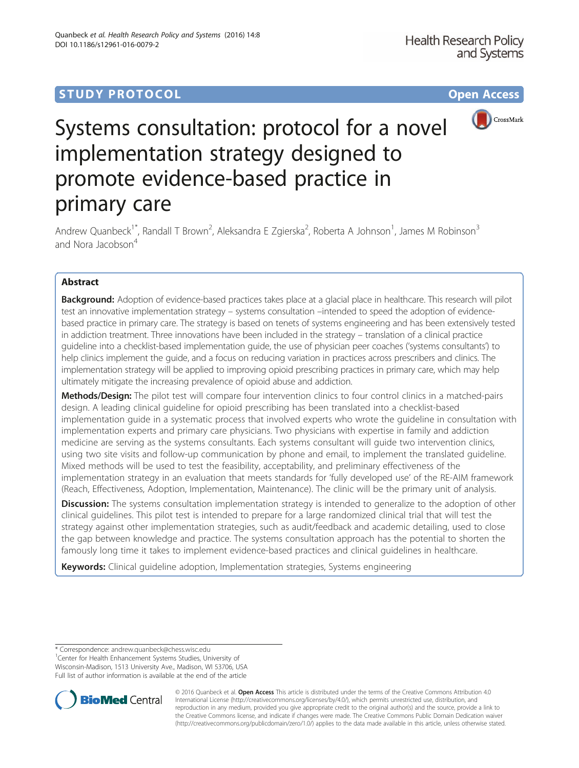

# Systems consultation: protocol for a novel implementation strategy designed to promote evidence-based practice in primary care

Andrew Quanbeck<sup>1\*</sup>, Randall T Brown<sup>2</sup>, Aleksandra E Zgierska<sup>2</sup>, Roberta A Johnson<sup>1</sup>, James M Robinson<sup>3</sup> and Nora Jacobson<sup>4</sup>

# Abstract

Background: Adoption of evidence-based practices takes place at a glacial place in healthcare. This research will pilot test an innovative implementation strategy – systems consultation –intended to speed the adoption of evidencebased practice in primary care. The strategy is based on tenets of systems engineering and has been extensively tested in addiction treatment. Three innovations have been included in the strategy – translation of a clinical practice guideline into a checklist-based implementation guide, the use of physician peer coaches ('systems consultants') to help clinics implement the guide, and a focus on reducing variation in practices across prescribers and clinics. The implementation strategy will be applied to improving opioid prescribing practices in primary care, which may help ultimately mitigate the increasing prevalence of opioid abuse and addiction.

Methods/Design: The pilot test will compare four intervention clinics to four control clinics in a matched-pairs design. A leading clinical guideline for opioid prescribing has been translated into a checklist-based implementation guide in a systematic process that involved experts who wrote the guideline in consultation with implementation experts and primary care physicians. Two physicians with expertise in family and addiction medicine are serving as the systems consultants. Each systems consultant will guide two intervention clinics, using two site visits and follow-up communication by phone and email, to implement the translated guideline. Mixed methods will be used to test the feasibility, acceptability, and preliminary effectiveness of the implementation strategy in an evaluation that meets standards for 'fully developed use' of the RE-AIM framework (Reach, Effectiveness, Adoption, Implementation, Maintenance). The clinic will be the primary unit of analysis.

Discussion: The systems consultation implementation strategy is intended to generalize to the adoption of other clinical guidelines. This pilot test is intended to prepare for a large randomized clinical trial that will test the strategy against other implementation strategies, such as audit/feedback and academic detailing, used to close the gap between knowledge and practice. The systems consultation approach has the potential to shorten the famously long time it takes to implement evidence-based practices and clinical guidelines in healthcare.

Keywords: Clinical guideline adoption, Implementation strategies, Systems engineering

<sup>1</sup>Center for Health Enhancement Systems Studies, University of Wisconsin-Madison, 1513 University Ave., Madison, WI 53706, USA Full list of author information is available at the end of the article



© 2016 Quanbeck et al. Open Access This article is distributed under the terms of the Creative Commons Attribution 4.0 International License [\(http://creativecommons.org/licenses/by/4.0/](http://creativecommons.org/licenses/by/4.0/)), which permits unrestricted use, distribution, and reproduction in any medium, provided you give appropriate credit to the original author(s) and the source, provide a link to the Creative Commons license, and indicate if changes were made. The Creative Commons Public Domain Dedication waiver [\(http://creativecommons.org/publicdomain/zero/1.0/](http://creativecommons.org/publicdomain/zero/1.0/)) applies to the data made available in this article, unless otherwise stated.

<sup>\*</sup> Correspondence: [andrew.quanbeck@chess.wisc.edu](mailto:andrew.quanbeck@chess.wisc.edu) <sup>1</sup>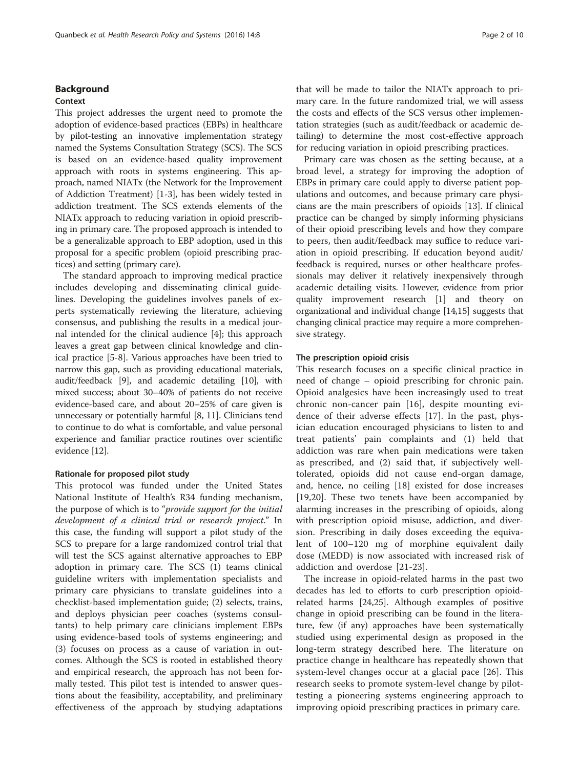### Background

#### Context

This project addresses the urgent need to promote the adoption of evidence-based practices (EBPs) in healthcare by pilot-testing an innovative implementation strategy named the Systems Consultation Strategy (SCS). The SCS is based on an evidence-based quality improvement approach with roots in systems engineering. This approach, named NIATx (the Network for the Improvement of Addiction Treatment) [\[1](#page-8-0)-[3](#page-8-0)], has been widely tested in addiction treatment. The SCS extends elements of the NIATx approach to reducing variation in opioid prescribing in primary care. The proposed approach is intended to be a generalizable approach to EBP adoption, used in this proposal for a specific problem (opioid prescribing practices) and setting (primary care).

The standard approach to improving medical practice includes developing and disseminating clinical guidelines. Developing the guidelines involves panels of experts systematically reviewing the literature, achieving consensus, and publishing the results in a medical journal intended for the clinical audience [\[4](#page-8-0)]; this approach leaves a great gap between clinical knowledge and clinical practice [[5-8](#page-8-0)]. Various approaches have been tried to narrow this gap, such as providing educational materials, audit/feedback [\[9](#page-8-0)], and academic detailing [\[10\]](#page-8-0), with mixed success; about 30–40% of patients do not receive evidence-based care, and about 20–25% of care given is unnecessary or potentially harmful [[8](#page-8-0), [11](#page-8-0)]. Clinicians tend to continue to do what is comfortable, and value personal experience and familiar practice routines over scientific evidence [\[12\]](#page-8-0).

#### Rationale for proposed pilot study

This protocol was funded under the United States National Institute of Health's R34 funding mechanism, the purpose of which is to "provide support for the initial development of a clinical trial or research project." In this case, the funding will support a pilot study of the SCS to prepare for a large randomized control trial that will test the SCS against alternative approaches to EBP adoption in primary care. The SCS (1) teams clinical guideline writers with implementation specialists and primary care physicians to translate guidelines into a checklist-based implementation guide; (2) selects, trains, and deploys physician peer coaches (systems consultants) to help primary care clinicians implement EBPs using evidence-based tools of systems engineering; and (3) focuses on process as a cause of variation in outcomes. Although the SCS is rooted in established theory and empirical research, the approach has not been formally tested. This pilot test is intended to answer questions about the feasibility, acceptability, and preliminary effectiveness of the approach by studying adaptations that will be made to tailor the NIATx approach to primary care. In the future randomized trial, we will assess the costs and effects of the SCS versus other implementation strategies (such as audit/feedback or academic detailing) to determine the most cost-effective approach for reducing variation in opioid prescribing practices.

Primary care was chosen as the setting because, at a broad level, a strategy for improving the adoption of EBPs in primary care could apply to diverse patient populations and outcomes, and because primary care physicians are the main prescribers of opioids [\[13](#page-8-0)]. If clinical practice can be changed by simply informing physicians of their opioid prescribing levels and how they compare to peers, then audit/feedback may suffice to reduce variation in opioid prescribing. If education beyond audit/ feedback is required, nurses or other healthcare professionals may deliver it relatively inexpensively through academic detailing visits. However, evidence from prior quality improvement research [\[1\]](#page-8-0) and theory on organizational and individual change [\[14,15](#page-8-0)] suggests that changing clinical practice may require a more comprehensive strategy.

#### The prescription opioid crisis

This research focuses on a specific clinical practice in need of change – opioid prescribing for chronic pain. Opioid analgesics have been increasingly used to treat chronic non-cancer pain [[16](#page--1-0)], despite mounting evidence of their adverse effects [[17\]](#page--1-0). In the past, physician education encouraged physicians to listen to and treat patients' pain complaints and (1) held that addiction was rare when pain medications were taken as prescribed, and (2) said that, if subjectively welltolerated, opioids did not cause end-organ damage, and, hence, no ceiling [[18\]](#page--1-0) existed for dose increases [[19,20](#page--1-0)]. These two tenets have been accompanied by alarming increases in the prescribing of opioids, along with prescription opioid misuse, addiction, and diversion. Prescribing in daily doses exceeding the equivalent of 100–120 mg of morphine equivalent daily dose (MEDD) is now associated with increased risk of addiction and overdose [[21-23](#page--1-0)].

The increase in opioid-related harms in the past two decades has led to efforts to curb prescription opioidrelated harms [[24,25\]](#page--1-0). Although examples of positive change in opioid prescribing can be found in the literature, few (if any) approaches have been systematically studied using experimental design as proposed in the long-term strategy described here. The literature on practice change in healthcare has repeatedly shown that system-level changes occur at a glacial pace [[26\]](#page--1-0). This research seeks to promote system-level change by pilottesting a pioneering systems engineering approach to improving opioid prescribing practices in primary care.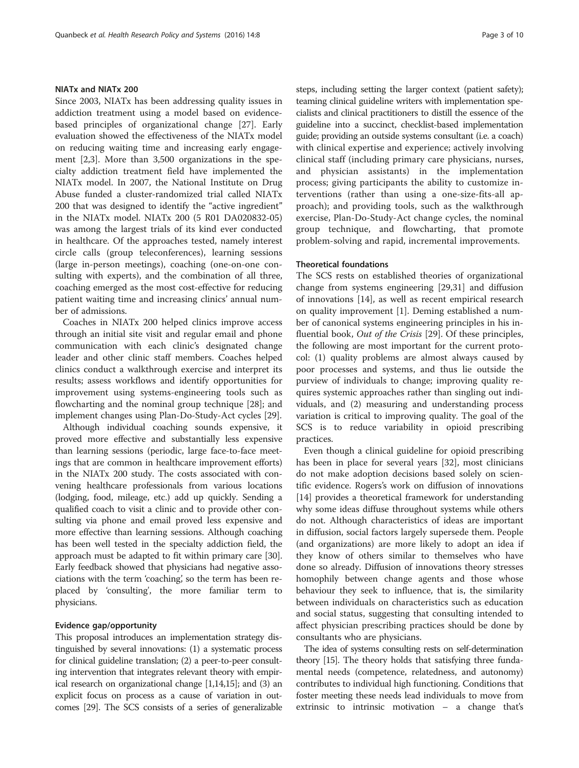## NIATx and NIATx 200

Since 2003, NIATx has been addressing quality issues in addiction treatment using a model based on evidencebased principles of organizational change [\[27](#page--1-0)]. Early evaluation showed the effectiveness of the NIATx model on reducing waiting time and increasing early engagement [[2,3\]](#page-8-0). More than 3,500 organizations in the specialty addiction treatment field have implemented the NIATx model. In 2007, the National Institute on Drug Abuse funded a cluster-randomized trial called NIATx 200 that was designed to identify the "active ingredient" in the NIATx model. NIATx 200 (5 R01 DA020832-05) was among the largest trials of its kind ever conducted in healthcare. Of the approaches tested, namely interest circle calls (group teleconferences), learning sessions (large in-person meetings), coaching (one-on-one consulting with experts), and the combination of all three, coaching emerged as the most cost-effective for reducing patient waiting time and increasing clinics' annual number of admissions.

Coaches in NIATx 200 helped clinics improve access through an initial site visit and regular email and phone communication with each clinic's designated change leader and other clinic staff members. Coaches helped clinics conduct a walkthrough exercise and interpret its results; assess workflows and identify opportunities for improvement using systems-engineering tools such as flowcharting and the nominal group technique [[28\]](#page--1-0); and implement changes using Plan-Do-Study-Act cycles [[29\]](#page--1-0).

Although individual coaching sounds expensive, it proved more effective and substantially less expensive than learning sessions (periodic, large face-to-face meetings that are common in healthcare improvement efforts) in the NIATx 200 study. The costs associated with convening healthcare professionals from various locations (lodging, food, mileage, etc.) add up quickly. Sending a qualified coach to visit a clinic and to provide other consulting via phone and email proved less expensive and more effective than learning sessions. Although coaching has been well tested in the specialty addiction field, the approach must be adapted to fit within primary care [[30](#page--1-0)]. Early feedback showed that physicians had negative associations with the term 'coaching', so the term has been replaced by 'consulting', the more familiar term to physicians.

## Evidence gap/opportunity

This proposal introduces an implementation strategy distinguished by several innovations: (1) a systematic process for clinical guideline translation; (2) a peer-to-peer consulting intervention that integrates relevant theory with empirical research on organizational change [\[1,14,15](#page-8-0)]; and (3) an explicit focus on process as a cause of variation in outcomes [[29](#page--1-0)]. The SCS consists of a series of generalizable steps, including setting the larger context (patient safety); teaming clinical guideline writers with implementation specialists and clinical practitioners to distill the essence of the guideline into a succinct, checklist-based implementation guide; providing an outside systems consultant (i.e. a coach) with clinical expertise and experience; actively involving clinical staff (including primary care physicians, nurses, and physician assistants) in the implementation process; giving participants the ability to customize interventions (rather than using a one-size-fits-all approach); and providing tools, such as the walkthrough exercise, Plan-Do-Study-Act change cycles, the nominal group technique, and flowcharting, that promote problem-solving and rapid, incremental improvements.

#### Theoretical foundations

The SCS rests on established theories of organizational change from systems engineering [[29,31\]](#page--1-0) and diffusion of innovations [[14\]](#page-8-0), as well as recent empirical research on quality improvement [[1\]](#page-8-0). Deming established a number of canonical systems engineering principles in his in-fluential book, Out of the Crisis [[29](#page--1-0)]. Of these principles, the following are most important for the current protocol: (1) quality problems are almost always caused by poor processes and systems, and thus lie outside the purview of individuals to change; improving quality requires systemic approaches rather than singling out individuals, and (2) measuring and understanding process variation is critical to improving quality. The goal of the SCS is to reduce variability in opioid prescribing practices.

Even though a clinical guideline for opioid prescribing has been in place for several years [\[32](#page--1-0)], most clinicians do not make adoption decisions based solely on scientific evidence. Rogers's work on diffusion of innovations [[14\]](#page-8-0) provides a theoretical framework for understanding why some ideas diffuse throughout systems while others do not. Although characteristics of ideas are important in diffusion, social factors largely supersede them. People (and organizations) are more likely to adopt an idea if they know of others similar to themselves who have done so already. Diffusion of innovations theory stresses homophily between change agents and those whose behaviour they seek to influence, that is, the similarity between individuals on characteristics such as education and social status, suggesting that consulting intended to affect physician prescribing practices should be done by consultants who are physicians.

The idea of systems consulting rests on self-determination theory [\[15\]](#page-8-0). The theory holds that satisfying three fundamental needs (competence, relatedness, and autonomy) contributes to individual high functioning. Conditions that foster meeting these needs lead individuals to move from extrinsic to intrinsic motivation – a change that's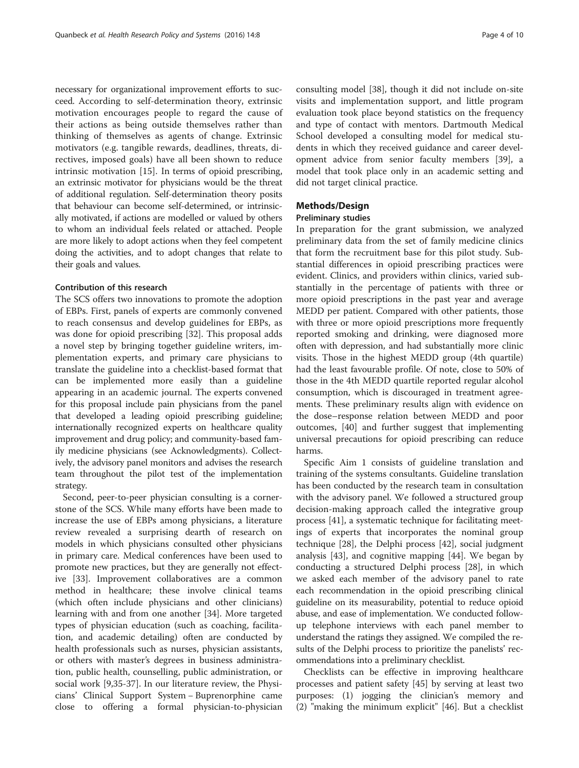necessary for organizational improvement efforts to succeed. According to self-determination theory, extrinsic motivation encourages people to regard the cause of their actions as being outside themselves rather than thinking of themselves as agents of change. Extrinsic motivators (e.g. tangible rewards, deadlines, threats, directives, imposed goals) have all been shown to reduce intrinsic motivation [[15\]](#page-8-0). In terms of opioid prescribing, an extrinsic motivator for physicians would be the threat of additional regulation. Self-determination theory posits that behaviour can become self-determined, or intrinsically motivated, if actions are modelled or valued by others to whom an individual feels related or attached. People are more likely to adopt actions when they feel competent doing the activities, and to adopt changes that relate to their goals and values.

## Contribution of this research

The SCS offers two innovations to promote the adoption of EBPs. First, panels of experts are commonly convened to reach consensus and develop guidelines for EBPs, as was done for opioid prescribing [\[32\]](#page--1-0). This proposal adds a novel step by bringing together guideline writers, implementation experts, and primary care physicians to translate the guideline into a checklist-based format that can be implemented more easily than a guideline appearing in an academic journal. The experts convened for this proposal include pain physicians from the panel that developed a leading opioid prescribing guideline; internationally recognized experts on healthcare quality improvement and drug policy; and community-based family medicine physicians (see Acknowledgments). Collectively, the advisory panel monitors and advises the research team throughout the pilot test of the implementation strategy.

Second, peer-to-peer physician consulting is a cornerstone of the SCS. While many efforts have been made to increase the use of EBPs among physicians, a literature review revealed a surprising dearth of research on models in which physicians consulted other physicians in primary care. Medical conferences have been used to promote new practices, but they are generally not effective [[33\]](#page--1-0). Improvement collaboratives are a common method in healthcare; these involve clinical teams (which often include physicians and other clinicians) learning with and from one another [\[34\]](#page--1-0). More targeted types of physician education (such as coaching, facilitation, and academic detailing) often are conducted by health professionals such as nurses, physician assistants, or others with master's degrees in business administration, public health, counselling, public administration, or social work [\[9](#page-8-0),[35](#page--1-0)-[37\]](#page--1-0). In our literature review, the Physicians' Clinical Support System − Buprenorphine came close to offering a formal physician-to-physician consulting model [[38\]](#page--1-0), though it did not include on-site visits and implementation support, and little program evaluation took place beyond statistics on the frequency and type of contact with mentors. Dartmouth Medical School developed a consulting model for medical students in which they received guidance and career development advice from senior faculty members [[39](#page--1-0)], a model that took place only in an academic setting and did not target clinical practice.

# Methods/Design

#### Preliminary studies

In preparation for the grant submission, we analyzed preliminary data from the set of family medicine clinics that form the recruitment base for this pilot study. Substantial differences in opioid prescribing practices were evident. Clinics, and providers within clinics, varied substantially in the percentage of patients with three or more opioid prescriptions in the past year and average MEDD per patient. Compared with other patients, those with three or more opioid prescriptions more frequently reported smoking and drinking, were diagnosed more often with depression, and had substantially more clinic visits. Those in the highest MEDD group (4th quartile) had the least favourable profile. Of note, close to 50% of those in the 4th MEDD quartile reported regular alcohol consumption, which is discouraged in treatment agreements. These preliminary results align with evidence on the dose–response relation between MEDD and poor outcomes, [[40](#page--1-0)] and further suggest that implementing universal precautions for opioid prescribing can reduce harms.

Specific Aim 1 consists of guideline translation and training of the systems consultants. Guideline translation has been conducted by the research team in consultation with the advisory panel. We followed a structured group decision-making approach called the integrative group process [\[41\]](#page--1-0), a systematic technique for facilitating meetings of experts that incorporates the nominal group technique [[28\]](#page--1-0), the Delphi process [[42](#page--1-0)], social judgment analysis [[43\]](#page--1-0), and cognitive mapping [\[44\]](#page--1-0). We began by conducting a structured Delphi process [[28](#page--1-0)], in which we asked each member of the advisory panel to rate each recommendation in the opioid prescribing clinical guideline on its measurability, potential to reduce opioid abuse, and ease of implementation. We conducted followup telephone interviews with each panel member to understand the ratings they assigned. We compiled the results of the Delphi process to prioritize the panelists' recommendations into a preliminary checklist.

Checklists can be effective in improving healthcare processes and patient safety [\[45](#page--1-0)] by serving at least two purposes: (1) jogging the clinician's memory and (2) "making the minimum explicit" [[46](#page--1-0)]. But a checklist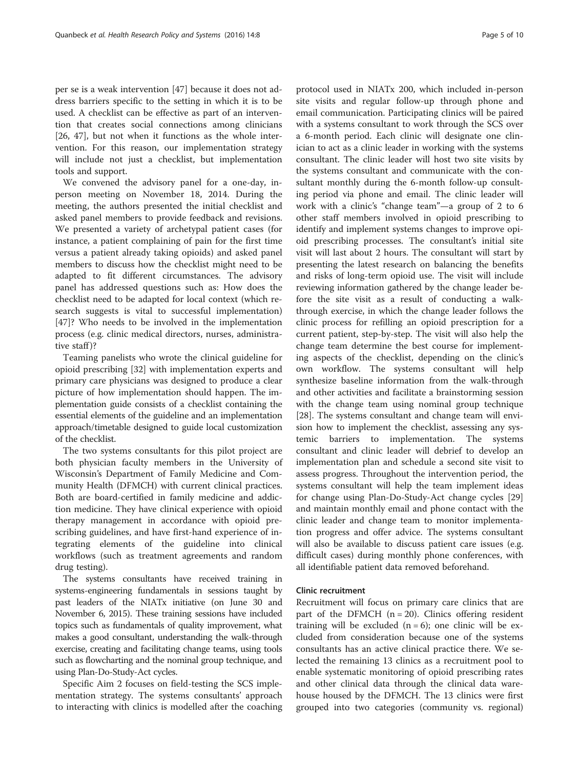per se is a weak intervention [\[47\]](#page--1-0) because it does not address barriers specific to the setting in which it is to be used. A checklist can be effective as part of an intervention that creates social connections among clinicians [[26, 47\]](#page--1-0), but not when it functions as the whole intervention. For this reason, our implementation strategy will include not just a checklist, but implementation tools and support.

We convened the advisory panel for a one-day, inperson meeting on November 18, 2014. During the meeting, the authors presented the initial checklist and asked panel members to provide feedback and revisions. We presented a variety of archetypal patient cases (for instance, a patient complaining of pain for the first time versus a patient already taking opioids) and asked panel members to discuss how the checklist might need to be adapted to fit different circumstances. The advisory panel has addressed questions such as: How does the checklist need to be adapted for local context (which research suggests is vital to successful implementation) [[47\]](#page--1-0)? Who needs to be involved in the implementation process (e.g. clinic medical directors, nurses, administrative staff )?

Teaming panelists who wrote the clinical guideline for opioid prescribing [[32](#page--1-0)] with implementation experts and primary care physicians was designed to produce a clear picture of how implementation should happen. The implementation guide consists of a checklist containing the essential elements of the guideline and an implementation approach/timetable designed to guide local customization of the checklist.

The two systems consultants for this pilot project are both physician faculty members in the University of Wisconsin's Department of Family Medicine and Community Health (DFMCH) with current clinical practices. Both are board-certified in family medicine and addiction medicine. They have clinical experience with opioid therapy management in accordance with opioid prescribing guidelines, and have first-hand experience of integrating elements of the guideline into clinical workflows (such as treatment agreements and random drug testing).

The systems consultants have received training in systems-engineering fundamentals in sessions taught by past leaders of the NIATx initiative (on June 30 and November 6, 2015). These training sessions have included topics such as fundamentals of quality improvement, what makes a good consultant, understanding the walk-through exercise, creating and facilitating change teams, using tools such as flowcharting and the nominal group technique, and using Plan-Do-Study-Act cycles.

Specific Aim 2 focuses on field-testing the SCS implementation strategy. The systems consultants' approach to interacting with clinics is modelled after the coaching protocol used in NIATx 200, which included in-person site visits and regular follow-up through phone and email communication. Participating clinics will be paired with a systems consultant to work through the SCS over a 6-month period. Each clinic will designate one clinician to act as a clinic leader in working with the systems consultant. The clinic leader will host two site visits by the systems consultant and communicate with the consultant monthly during the 6-month follow-up consulting period via phone and email. The clinic leader will work with a clinic's "change team"—a group of 2 to 6 other staff members involved in opioid prescribing to identify and implement systems changes to improve opioid prescribing processes. The consultant's initial site visit will last about 2 hours. The consultant will start by presenting the latest research on balancing the benefits and risks of long-term opioid use. The visit will include reviewing information gathered by the change leader before the site visit as a result of conducting a walkthrough exercise, in which the change leader follows the clinic process for refilling an opioid prescription for a current patient, step-by-step. The visit will also help the change team determine the best course for implementing aspects of the checklist, depending on the clinic's own workflow. The systems consultant will help synthesize baseline information from the walk-through and other activities and facilitate a brainstorming session with the change team using nominal group technique [[28\]](#page--1-0). The systems consultant and change team will envision how to implement the checklist, assessing any systemic barriers to implementation. The systems consultant and clinic leader will debrief to develop an implementation plan and schedule a second site visit to assess progress. Throughout the intervention period, the systems consultant will help the team implement ideas for change using Plan-Do-Study-Act change cycles [[29](#page--1-0)] and maintain monthly email and phone contact with the clinic leader and change team to monitor implementation progress and offer advice. The systems consultant will also be available to discuss patient care issues (e.g. difficult cases) during monthly phone conferences, with all identifiable patient data removed beforehand.

#### Clinic recruitment

Recruitment will focus on primary care clinics that are part of the DFMCH  $(n = 20)$ . Clinics offering resident training will be excluded  $(n = 6)$ ; one clinic will be excluded from consideration because one of the systems consultants has an active clinical practice there. We selected the remaining 13 clinics as a recruitment pool to enable systematic monitoring of opioid prescribing rates and other clinical data through the clinical data warehouse housed by the DFMCH. The 13 clinics were first grouped into two categories (community vs. regional)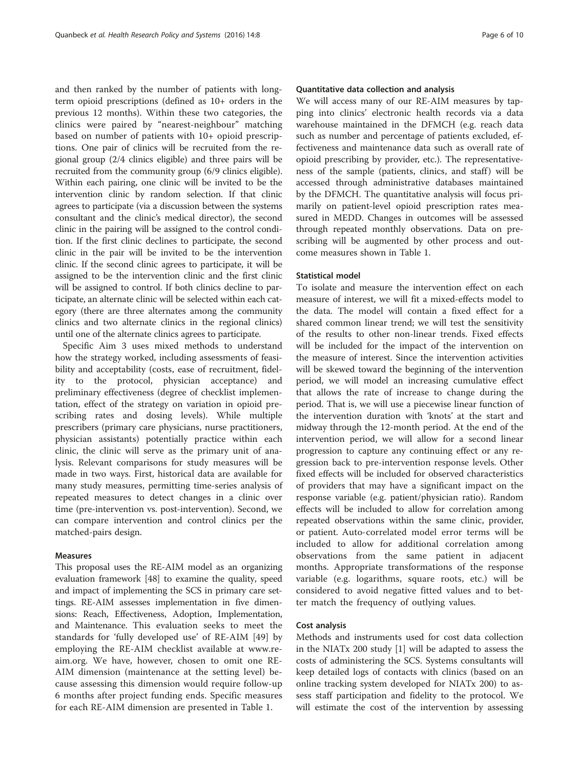and then ranked by the number of patients with longterm opioid prescriptions (defined as 10+ orders in the previous 12 months). Within these two categories, the clinics were paired by "nearest-neighbour" matching based on number of patients with 10+ opioid prescriptions. One pair of clinics will be recruited from the regional group (2/4 clinics eligible) and three pairs will be recruited from the community group (6/9 clinics eligible). Within each pairing, one clinic will be invited to be the intervention clinic by random selection. If that clinic agrees to participate (via a discussion between the systems consultant and the clinic's medical director), the second clinic in the pairing will be assigned to the control condition. If the first clinic declines to participate, the second clinic in the pair will be invited to be the intervention clinic. If the second clinic agrees to participate, it will be assigned to be the intervention clinic and the first clinic will be assigned to control. If both clinics decline to participate, an alternate clinic will be selected within each category (there are three alternates among the community clinics and two alternate clinics in the regional clinics) until one of the alternate clinics agrees to participate.

Specific Aim 3 uses mixed methods to understand how the strategy worked, including assessments of feasibility and acceptability (costs, ease of recruitment, fidelity to the protocol, physician acceptance) and preliminary effectiveness (degree of checklist implementation, effect of the strategy on variation in opioid prescribing rates and dosing levels). While multiple prescribers (primary care physicians, nurse practitioners, physician assistants) potentially practice within each clinic, the clinic will serve as the primary unit of analysis. Relevant comparisons for study measures will be made in two ways. First, historical data are available for many study measures, permitting time-series analysis of repeated measures to detect changes in a clinic over time (pre-intervention vs. post-intervention). Second, we can compare intervention and control clinics per the matched-pairs design.

#### Measures

This proposal uses the RE-AIM model as an organizing evaluation framework [\[48\]](#page--1-0) to examine the quality, speed and impact of implementing the SCS in primary care settings. RE-AIM assesses implementation in five dimensions: Reach, Effectiveness, Adoption, Implementation, and Maintenance. This evaluation seeks to meet the standards for 'fully developed use' of RE-AIM [\[49](#page--1-0)] by employing the RE-AIM checklist available at [www.re](http://www.re-aim.org/)[aim.org](http://www.re-aim.org/). We have, however, chosen to omit one RE-AIM dimension (maintenance at the setting level) because assessing this dimension would require follow-up 6 months after project funding ends. Specific measures for each RE-AIM dimension are presented in Table [1](#page-6-0).

## Quantitative data collection and analysis

We will access many of our RE-AIM measures by tapping into clinics' electronic health records via a data warehouse maintained in the DFMCH (e.g. reach data such as number and percentage of patients excluded, effectiveness and maintenance data such as overall rate of opioid prescribing by provider, etc.). The representativeness of the sample (patients, clinics, and staff) will be accessed through administrative databases maintained by the DFMCH. The quantitative analysis will focus primarily on patient-level opioid prescription rates measured in MEDD. Changes in outcomes will be assessed through repeated monthly observations. Data on prescribing will be augmented by other process and outcome measures shown in Table [1.](#page-6-0)

## Statistical model

To isolate and measure the intervention effect on each measure of interest, we will fit a mixed-effects model to the data. The model will contain a fixed effect for a shared common linear trend; we will test the sensitivity of the results to other non-linear trends. Fixed effects will be included for the impact of the intervention on the measure of interest. Since the intervention activities will be skewed toward the beginning of the intervention period, we will model an increasing cumulative effect that allows the rate of increase to change during the period. That is, we will use a piecewise linear function of the intervention duration with 'knots' at the start and midway through the 12-month period. At the end of the intervention period, we will allow for a second linear progression to capture any continuing effect or any regression back to pre-intervention response levels. Other fixed effects will be included for observed characteristics of providers that may have a significant impact on the response variable (e.g. patient/physician ratio). Random effects will be included to allow for correlation among repeated observations within the same clinic, provider, or patient. Auto-correlated model error terms will be included to allow for additional correlation among observations from the same patient in adjacent months. Appropriate transformations of the response variable (e.g. logarithms, square roots, etc.) will be considered to avoid negative fitted values and to better match the frequency of outlying values.

### Cost analysis

Methods and instruments used for cost data collection in the NIATx 200 study [1] will be adapted to assess the costs of administering the SCS. Systems consultants will keep detailed logs of contacts with clinics (based on an online tracking system developed for NIATx 200) to assess staff participation and fidelity to the protocol. We will estimate the cost of the intervention by assessing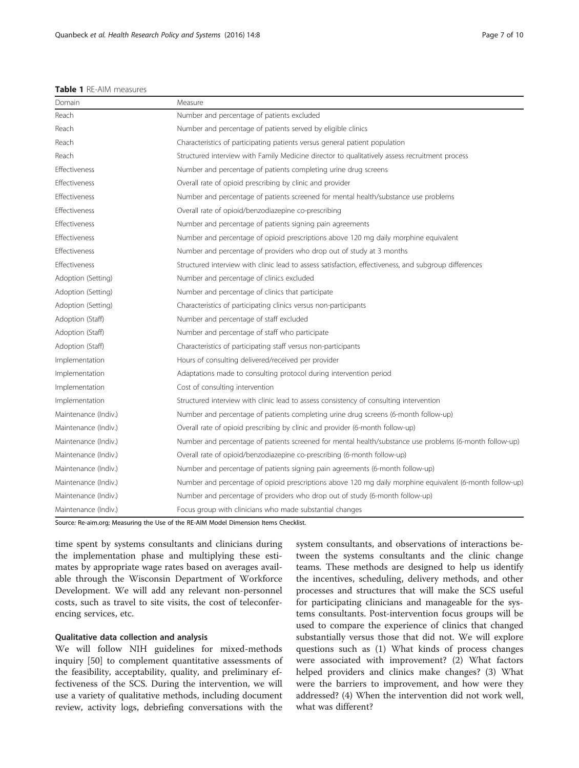#### <span id="page-6-0"></span>Table 1 RE-AIM measures

| Domain               | Measure                                                                                                  |
|----------------------|----------------------------------------------------------------------------------------------------------|
| Reach                | Number and percentage of patients excluded                                                               |
| Reach                | Number and percentage of patients served by eligible clinics                                             |
| Reach                | Characteristics of participating patients versus general patient population                              |
| Reach                | Structured interview with Family Medicine director to qualitatively assess recruitment process           |
| <b>Effectiveness</b> | Number and percentage of patients completing urine drug screens                                          |
| Effectiveness        | Overall rate of opioid prescribing by clinic and provider                                                |
| Effectiveness        | Number and percentage of patients screened for mental health/substance use problems                      |
| Effectiveness        | Overall rate of opioid/benzodiazepine co-prescribing                                                     |
| Effectiveness        | Number and percentage of patients signing pain agreements                                                |
| Effectiveness        | Number and percentage of opioid prescriptions above 120 mg daily morphine equivalent                     |
| Effectiveness        | Number and percentage of providers who drop out of study at 3 months                                     |
| Effectiveness        | Structured interview with clinic lead to assess satisfaction, effectiveness, and subgroup differences    |
| Adoption (Setting)   | Number and percentage of clinics excluded                                                                |
| Adoption (Setting)   | Number and percentage of clinics that participate                                                        |
| Adoption (Setting)   | Characteristics of participating clinics versus non-participants                                         |
| Adoption (Staff)     | Number and percentage of staff excluded                                                                  |
| Adoption (Staff)     | Number and percentage of staff who participate                                                           |
| Adoption (Staff)     | Characteristics of participating staff versus non-participants                                           |
| Implementation       | Hours of consulting delivered/received per provider                                                      |
| Implementation       | Adaptations made to consulting protocol during intervention period                                       |
| Implementation       | Cost of consulting intervention                                                                          |
| Implementation       | Structured interview with clinic lead to assess consistency of consulting intervention                   |
| Maintenance (Indiv.) | Number and percentage of patients completing urine drug screens (6-month follow-up)                      |
| Maintenance (Indiv.) | Overall rate of opioid prescribing by clinic and provider (6-month follow-up)                            |
| Maintenance (Indiv.) | Number and percentage of patients screened for mental health/substance use problems (6-month follow-up)  |
| Maintenance (Indiv.) | Overall rate of opioid/benzodiazepine co-prescribing (6-month follow-up)                                 |
| Maintenance (Indiv.) | Number and percentage of patients signing pain agreements (6-month follow-up)                            |
| Maintenance (Indiv.) | Number and percentage of opioid prescriptions above 120 mg daily morphine equivalent (6-month follow-up) |
| Maintenance (Indiv.) | Number and percentage of providers who drop out of study (6-month follow-up)                             |
| Maintenance (Indiv.) | Focus group with clinicians who made substantial changes                                                 |
|                      |                                                                                                          |

Source: Re-aim.org; Measuring the Use of the RE-AIM Model Dimension Items Checklist.

time spent by systems consultants and clinicians during the implementation phase and multiplying these estimates by appropriate wage rates based on averages available through the Wisconsin Department of Workforce Development. We will add any relevant non-personnel costs, such as travel to site visits, the cost of teleconferencing services, etc.

### Qualitative data collection and analysis

We will follow NIH guidelines for mixed-methods inquiry [[50\]](#page--1-0) to complement quantitative assessments of the feasibility, acceptability, quality, and preliminary effectiveness of the SCS. During the intervention, we will use a variety of qualitative methods, including document review, activity logs, debriefing conversations with the system consultants, and observations of interactions between the systems consultants and the clinic change teams. These methods are designed to help us identify the incentives, scheduling, delivery methods, and other processes and structures that will make the SCS useful for participating clinicians and manageable for the systems consultants. Post-intervention focus groups will be used to compare the experience of clinics that changed substantially versus those that did not. We will explore questions such as (1) What kinds of process changes were associated with improvement? (2) What factors helped providers and clinics make changes? (3) What were the barriers to improvement, and how were they addressed? (4) When the intervention did not work well, what was different?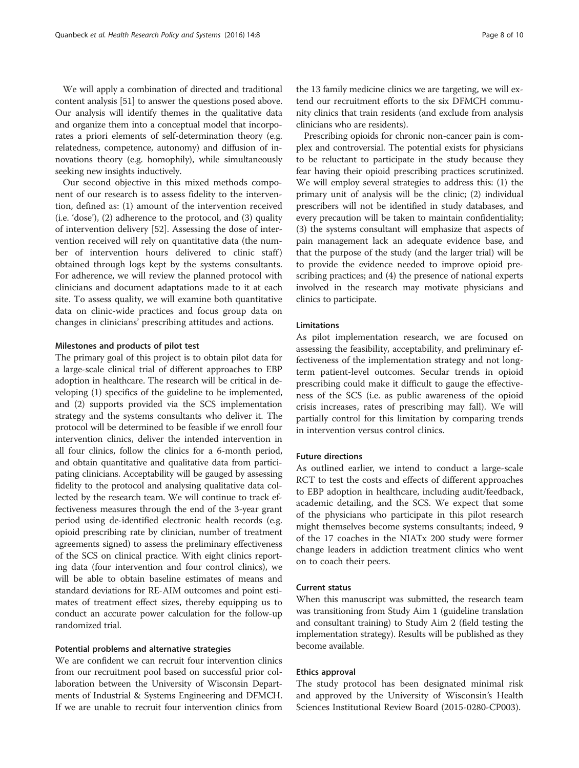We will apply a combination of directed and traditional content analysis [\[51\]](#page--1-0) to answer the questions posed above. Our analysis will identify themes in the qualitative data and organize them into a conceptual model that incorporates a priori elements of self-determination theory (e.g. relatedness, competence, autonomy) and diffusion of innovations theory (e.g. homophily), while simultaneously seeking new insights inductively.

Our second objective in this mixed methods component of our research is to assess fidelity to the intervention, defined as: (1) amount of the intervention received (i.e. 'dose'), (2) adherence to the protocol, and (3) quality of intervention delivery [[52\]](#page--1-0). Assessing the dose of intervention received will rely on quantitative data (the number of intervention hours delivered to clinic staff) obtained through logs kept by the systems consultants. For adherence, we will review the planned protocol with clinicians and document adaptations made to it at each site. To assess quality, we will examine both quantitative data on clinic-wide practices and focus group data on changes in clinicians' prescribing attitudes and actions.

#### Milestones and products of pilot test

The primary goal of this project is to obtain pilot data for a large-scale clinical trial of different approaches to EBP adoption in healthcare. The research will be critical in developing (1) specifics of the guideline to be implemented, and (2) supports provided via the SCS implementation strategy and the systems consultants who deliver it. The protocol will be determined to be feasible if we enroll four intervention clinics, deliver the intended intervention in all four clinics, follow the clinics for a 6-month period, and obtain quantitative and qualitative data from participating clinicians. Acceptability will be gauged by assessing fidelity to the protocol and analysing qualitative data collected by the research team. We will continue to track effectiveness measures through the end of the 3-year grant period using de-identified electronic health records (e.g. opioid prescribing rate by clinician, number of treatment agreements signed) to assess the preliminary effectiveness of the SCS on clinical practice. With eight clinics reporting data (four intervention and four control clinics), we will be able to obtain baseline estimates of means and standard deviations for RE-AIM outcomes and point estimates of treatment effect sizes, thereby equipping us to conduct an accurate power calculation for the follow-up randomized trial.

#### Potential problems and alternative strategies

We are confident we can recruit four intervention clinics from our recruitment pool based on successful prior collaboration between the University of Wisconsin Departments of Industrial & Systems Engineering and DFMCH. If we are unable to recruit four intervention clinics from the 13 family medicine clinics we are targeting, we will extend our recruitment efforts to the six DFMCH community clinics that train residents (and exclude from analysis clinicians who are residents).

Prescribing opioids for chronic non-cancer pain is complex and controversial. The potential exists for physicians to be reluctant to participate in the study because they fear having their opioid prescribing practices scrutinized. We will employ several strategies to address this: (1) the primary unit of analysis will be the clinic; (2) individual prescribers will not be identified in study databases, and every precaution will be taken to maintain confidentiality; (3) the systems consultant will emphasize that aspects of pain management lack an adequate evidence base, and that the purpose of the study (and the larger trial) will be to provide the evidence needed to improve opioid prescribing practices; and (4) the presence of national experts involved in the research may motivate physicians and clinics to participate.

#### Limitations

As pilot implementation research, we are focused on assessing the feasibility, acceptability, and preliminary effectiveness of the implementation strategy and not longterm patient-level outcomes. Secular trends in opioid prescribing could make it difficult to gauge the effectiveness of the SCS (i.e. as public awareness of the opioid crisis increases, rates of prescribing may fall). We will partially control for this limitation by comparing trends in intervention versus control clinics.

#### Future directions

As outlined earlier, we intend to conduct a large-scale RCT to test the costs and effects of different approaches to EBP adoption in healthcare, including audit/feedback, academic detailing, and the SCS. We expect that some of the physicians who participate in this pilot research might themselves become systems consultants; indeed, 9 of the 17 coaches in the NIATx 200 study were former change leaders in addiction treatment clinics who went on to coach their peers.

#### Current status

When this manuscript was submitted, the research team was transitioning from Study Aim 1 (guideline translation and consultant training) to Study Aim 2 (field testing the implementation strategy). Results will be published as they become available.

#### Ethics approval

The study protocol has been designated minimal risk and approved by the University of Wisconsin's Health Sciences Institutional Review Board (2015-0280-CP003).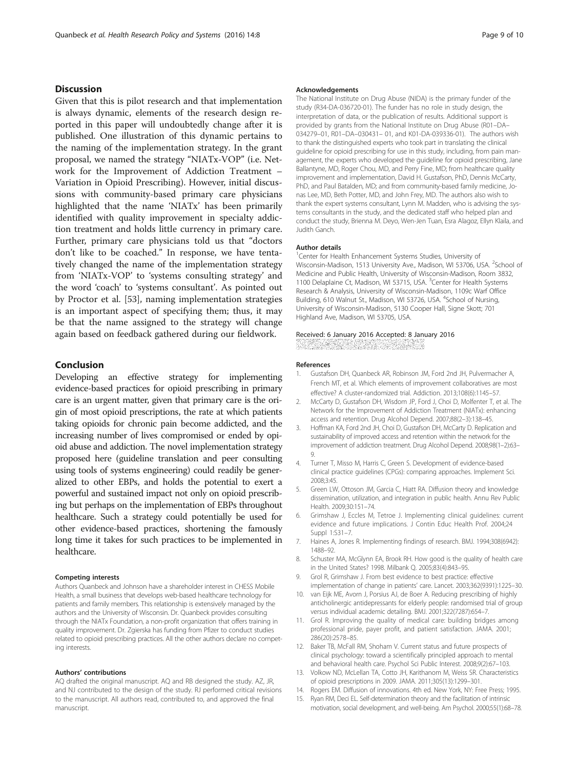## <span id="page-8-0"></span>**Discussion**

Given that this is pilot research and that implementation is always dynamic, elements of the research design reported in this paper will undoubtedly change after it is published. One illustration of this dynamic pertains to the naming of the implementation strategy. In the grant proposal, we named the strategy "NIATx-VOP" (i.e. Network for the Improvement of Addiction Treatment – Variation in Opioid Prescribing). However, initial discussions with community-based primary care physicians highlighted that the name 'NIATx' has been primarily identified with quality improvement in specialty addiction treatment and holds little currency in primary care. Further, primary care physicians told us that "doctors don't like to be coached." In response, we have tentatively changed the name of the implementation strategy from 'NIATx-VOP' to 'systems consulting strategy' and the word 'coach' to 'systems consultant'. As pointed out by Proctor et al. [\[53\]](#page--1-0), naming implementation strategies is an important aspect of specifying them; thus, it may be that the name assigned to the strategy will change again based on feedback gathered during our fieldwork.

#### Conclusion

Developing an effective strategy for implementing evidence-based practices for opioid prescribing in primary care is an urgent matter, given that primary care is the origin of most opioid prescriptions, the rate at which patients taking opioids for chronic pain become addicted, and the increasing number of lives compromised or ended by opioid abuse and addiction. The novel implementation strategy proposed here (guideline translation and peer consulting using tools of systems engineering) could readily be generalized to other EBPs, and holds the potential to exert a powerful and sustained impact not only on opioid prescribing but perhaps on the implementation of EBPs throughout healthcare. Such a strategy could potentially be used for other evidence-based practices, shortening the famously long time it takes for such practices to be implemented in healthcare.

#### Competing interests

Authors Quanbeck and Johnson have a shareholder interest in CHESS Mobile Health, a small business that develops web-based healthcare technology for patients and family members. This relationship is extensively managed by the authors and the University of Wisconsin. Dr. Quanbeck provides consulting through the NIATx Foundation, a non-profit organization that offers training in quality improvement. Dr. Zgierska has funding from Pfizer to conduct studies related to opioid prescribing practices. All the other authors declare no competing interests.

#### Authors' contributions

AQ drafted the original manuscript. AQ and RB designed the study. AZ, JR, and NJ contributed to the design of the study. RJ performed critical revisions to the manuscript. All authors read, contributed to, and approved the final manuscript.

#### Acknowledgements

The National Institute on Drug Abuse (NIDA) is the primary funder of the study (R34-DA-036720-01). The funder has no role in study design, the interpretation of data, or the publication of results. Additional support is provided by grants from the National Institute on Drug Abuse (R01–DA– 034279–01, R01–DA–030431– 01, and K01-DA-039336-01). The authors wish to thank the distinguished experts who took part in translating the clinical guideline for opioid prescribing for use in this study, including, from pain management, the experts who developed the guideline for opioid prescribing, Jane Ballantyne, MD, Roger Chou, MD, and Perry Fine, MD; from healthcare quality improvement and implementation, David H. Gustafson, PhD, Dennis McCarty, PhD, and Paul Batalden, MD; and from community-based family medicine, Jonas Lee, MD, Beth Potter, MD, and John Frey, MD. The authors also wish to thank the expert systems consultant, Lynn M. Madden, who is advising the systems consultants in the study, and the dedicated staff who helped plan and conduct the study, Brienna M. Deyo, Wen-Jen Tuan, Esra Alagoz, Ellyn Klaila, and Judith Ganch.

#### Author details

<sup>1</sup> Center for Health Enhancement Systems Studies, University of Wisconsin-Madison, 1513 University Ave., Madison, WI 53706, USA. <sup>2</sup>School of Medicine and Public Health, University of Wisconsin-Madison, Room 3832, 1100 Delaplaine Ct, Madison, WI 53715, USA. <sup>3</sup>Center for Health Systems Research & Analysis, University of Wisconsin-Madison, 1109c Warf Office Building, 610 Walnut St., Madison, WI 53726, USA. <sup>4</sup>School of Nursing, University of Wisconsin-Madison, 5130 Cooper Hall, Signe Skott; 701 Highland Ave, Madison, WI 53705, USA.

## Received: 6 January 2016 Accepted: 8 January 2016

#### References

- 1. Gustafson DH, Quanbeck AR, Robinson JM, Ford 2nd JH, Pulvermacher A, French MT, et al. Which elements of improvement collaboratives are most effective? A cluster-randomized trial. Addiction. 2013;108(6):1145–57.
- 2. McCarty D, Gustafson DH, Wisdom JP, Ford J, Choi D, Molfenter T, et al. The Network for the Improvement of Addiction Treatment (NIATx): enhancing access and retention. Drug Alcohol Depend. 2007;88(2–3):138–45.
- 3. Hoffman KA, Ford 2nd JH, Choi D, Gustafson DH, McCarty D. Replication and sustainability of improved access and retention within the network for the improvement of addiction treatment. Drug Alcohol Depend. 2008;98(1–2):63– 9.
- 4. Turner T, Misso M, Harris C, Green S. Development of evidence-based clinical practice guidelines (CPGs): comparing approaches. Implement Sci. 2008;3:45.
- 5. Green LW, Ottoson JM, Garcia C, Hiatt RA. Diffusion theory and knowledge dissemination, utilization, and integration in public health. Annu Rev Public Health. 2009;30:151–74.
- 6. Grimshaw J, Eccles M, Tetroe J. Implementing clinical guidelines: current evidence and future implications. J Contin Educ Health Prof. 2004;24 Suppl 1:S31–7.
- 7. Haines A, Jones R. Implementing findings of research. BMJ. 1994;308(6942): 1488–92.
- 8. Schuster MA, McGlynn EA, Brook RH. How good is the quality of health care in the United States? 1998. Milbank Q. 2005;83(4):843–95.
- 9. Grol R, Grimshaw J. From best evidence to best practice: effective implementation of change in patients' care. Lancet. 2003;362(9391):1225–30.
- 10. van Eijk ME, Avorn J, Porsius AJ, de Boer A. Reducing prescribing of highly anticholinergic antidepressants for elderly people: randomised trial of group versus individual academic detailing. BMJ. 2001;322(7287):654–7.
- 11. Grol R. Improving the quality of medical care: building bridges among professional pride, payer profit, and patient satisfaction. JAMA. 2001; 286(20):2578–85.
- 12. Baker TB, McFall RM, Shoham V. Current status and future prospects of clinical psychology: toward a scientifically principled approach to mental and behavioral health care. Psychol Sci Public Interest. 2008;9(2):67–103.
- 13. Volkow ND, McLellan TA, Cotto JH, Karithanom M, Weiss SR. Characteristics of opioid prescriptions in 2009. JAMA. 2011;305(13):1299–301.
- 14. Rogers EM. Diffusion of innovations. 4th ed. New York, NY: Free Press; 1995.
- 15. Ryan RM, Deci EL. Self-determination theory and the facilitation of intrinsic motivation, social development, and well-being. Am Psychol. 2000;55(1):68–78.